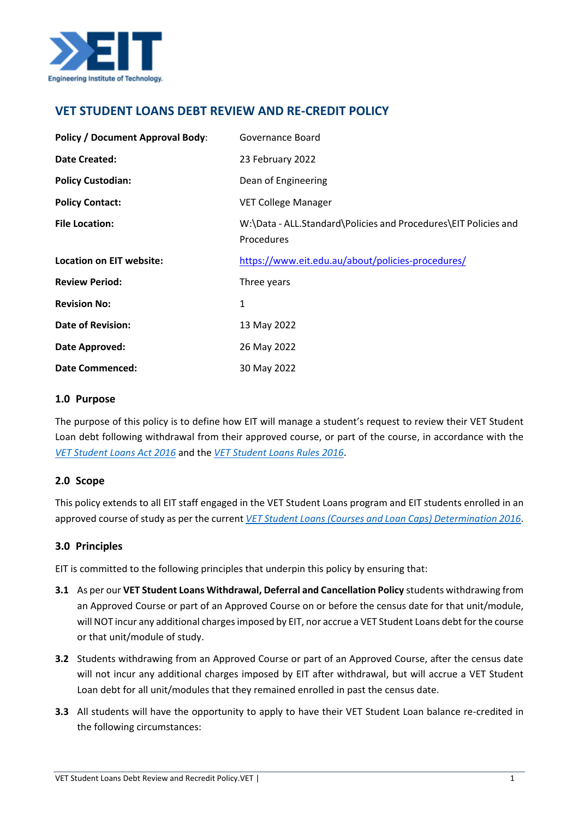

# **VET STUDENT LOANS DEBT REVIEW AND RE-CREDIT POLICY**

| <b>Policy / Document Approval Body:</b> | Governance Board                                                              |
|-----------------------------------------|-------------------------------------------------------------------------------|
| Date Created:                           | 23 February 2022                                                              |
| <b>Policy Custodian:</b>                | Dean of Engineering                                                           |
| <b>Policy Contact:</b>                  | <b>VET College Manager</b>                                                    |
| <b>File Location:</b>                   | W:\Data - ALL.Standard\Policies and Procedures\EIT Policies and<br>Procedures |
| Location on EIT website:                | https://www.eit.edu.au/about/policies-procedures/                             |
| <b>Review Period:</b>                   | Three years                                                                   |
| <b>Revision No:</b>                     | 1                                                                             |
| <b>Date of Revision:</b>                | 13 May 2022                                                                   |
| Date Approved:                          | 26 May 2022                                                                   |
| <b>Date Commenced:</b>                  | 30 May 2022                                                                   |

#### **1.0 Purpose**

The purpose of this policy is to define how EIT will manage a student's request to review their VET Student Loan debt following withdrawal from their approved course, or part of the course, in accordance with the *[VET Student Loans Act 2016](https://www.legislation.gov.au/Details/C2021C00507)* and the *[VET Student Loans Rules 2016](https://www.legislation.gov.au/Details/F2022C00202)*.

## **2.0 Scope**

This policy extends to all EIT staff engaged in the VET Student Loans program and EIT students enrolled in an approved course of study as per the current *[VET Student Loans \(Courses and Loan Caps\) Determination 2016](https://www.legislation.gov.au/Series/F2016L02016)*.

## **3.0 Principles**

EIT is committed to the following principles that underpin this policy by ensuring that:

- **3.1** As per our **VET Student Loans Withdrawal, Deferral and Cancellation Policy** students withdrawing from an Approved Course or part of an Approved Course on or before the census date for that unit/module, will NOT incur any additional charges imposed by EIT, nor accrue a VET Student Loans debt for the course or that unit/module of study.
- **3.2** Students withdrawing from an Approved Course or part of an Approved Course, after the census date will not incur any additional charges imposed by EIT after withdrawal, but will accrue a VET Student Loan debt for all unit/modules that they remained enrolled in past the census date.
- **3.3** All students will have the opportunity to apply to have their VET Student Loan balance re-credited in the following circumstances: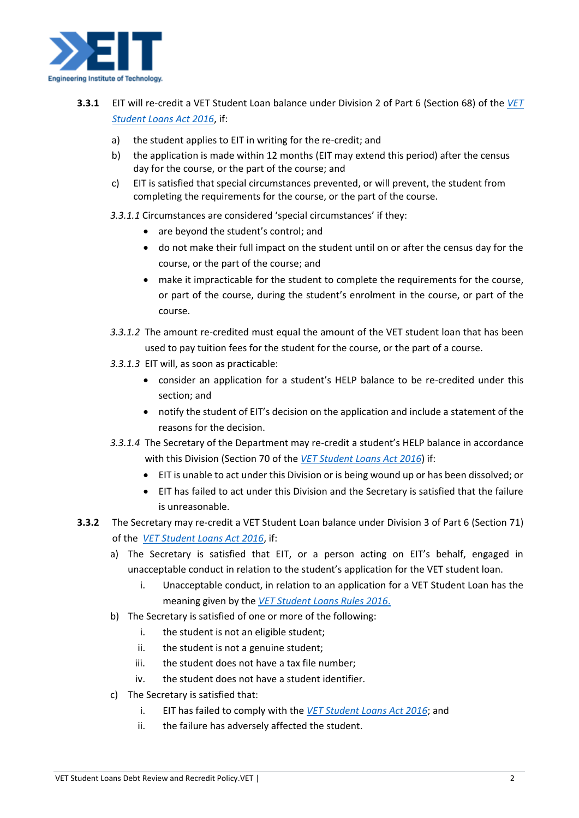

- **3.3.1** EIT will re-credit a VET Student Loan balance under Division 2 of Part 6 (Section 68) of the *[VET](https://www.legislation.gov.au/Details/C2021C00507)  [Student Loans Act 2016](https://www.legislation.gov.au/Details/C2021C00507)*, if:
	- a) the student applies to EIT in writing for the re-credit; and
	- b) the application is made within 12 months (EIT may extend this period) after the census day for the course, or the part of the course; and
	- c) EIT is satisfied that special circumstances prevented, or will prevent, the student from completing the requirements for the course, or the part of the course.
	- *3.3.1.1* Circumstances are considered 'special circumstances' if they:
		- are beyond the student's control: and
		- do not make their full impact on the student until on or after the census day for the course, or the part of the course; and
		- make it impracticable for the student to complete the requirements for the course, or part of the course, during the student's enrolment in the course, or part of the course.
	- *3.3.1.2* The amount re-credited must equal the amount of the VET student loan that has been used to pay tuition fees for the student for the course, or the part of a course.
	- *3.3.1.3* EIT will, as soon as practicable:
		- consider an application for a student's HELP balance to be re-credited under this section; and
		- notify the student of EIT's decision on the application and include a statement of the reasons for the decision.
	- *3.3.1.4* The Secretary of the Department may re-credit a student's HELP balance in accordance with this Division (Section 70 of the *[VET Student Loans Act 2016](https://www.legislation.gov.au/Details/C2021C00507)*) if:
		- EIT is unable to act under this Division or is being wound up or has been dissolved; or
		- EIT has failed to act under this Division and the Secretary is satisfied that the failure is unreasonable.
- **3.3.2** The Secretary may re-credit a VET Student Loan balance under Division 3 of Part 6 (Section 71) of the *[VET Student Loans Act 2016](https://www.legislation.gov.au/Details/C2021C00507)*, if:
	- a) The Secretary is satisfied that EIT, or a person acting on EIT's behalf, engaged in unacceptable conduct in relation to the student's application for the VET student loan.
		- i. Unacceptable conduct, in relation to an application for a VET Student Loan has the meaning given by the *[VET Student Loans Rules 2016](https://www.legislation.gov.au/Details/F2022C00202)*.
	- b) The Secretary is satisfied of one or more of the following:
		- i. the student is not an eligible student;
		- ii. the student is not a genuine student;
		- iii. the student does not have a tax file number;
		- iv. the student does not have a student identifier.
	- c) The Secretary is satisfied that:
		- i. EIT has failed to comply with the *[VET Student Loans Act 2016](https://www.legislation.gov.au/Details/C2021C00507)*; and
		- ii. the failure has adversely affected the student.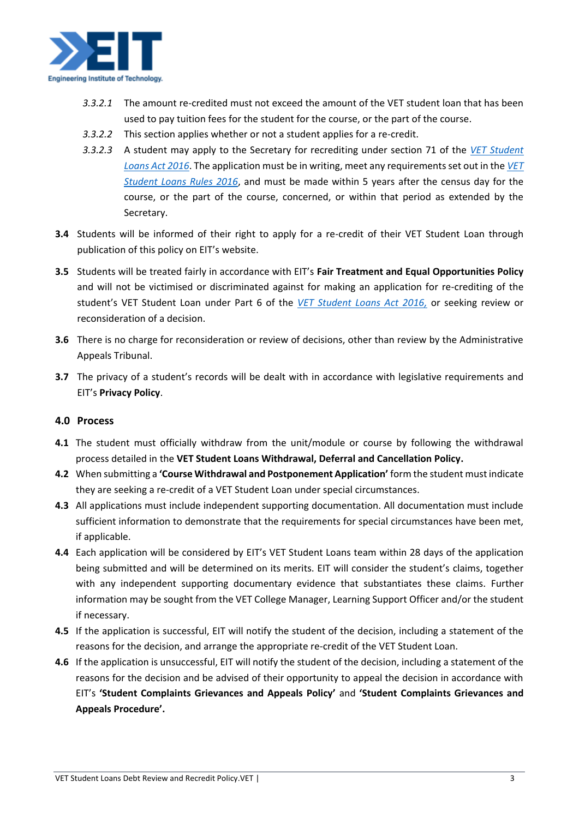

- *3.3.2.1* The amount re-credited must not exceed the amount of the VET student loan that has been used to pay tuition fees for the student for the course, or the part of the course.
- *3.3.2.2* This section applies whether or not a student applies for a re-credit.
- *3.3.2.3* A student may apply to the Secretary for recrediting under section 71 of the *[VET Student](https://www.legislation.gov.au/Details/C2021C00507)  [Loans Act 2016](https://www.legislation.gov.au/Details/C2021C00507)*. The application must be in writing, meet any requirements set out in the *[VET](https://www.legislation.gov.au/Details/F2022C00202)  [Student Loans Rules 2016](https://www.legislation.gov.au/Details/F2022C00202)*, and must be made within 5 years after the census day for the course, or the part of the course, concerned, or within that period as extended by the Secretary.
- **3.4** Students will be informed of their right to apply for a re-credit of their VET Student Loan through publication of this policy on EIT's website.
- **3.5** Students will be treated fairly in accordance with EIT's **Fair Treatment and Equal Opportunities Policy** and will not be victimised or discriminated against for making an application for re-crediting of the student's VET Student Loan under Part 6 of the *[VET Student Loans Act 2016,](https://www.legislation.gov.au/Details/C2021C00507)* or seeking review or reconsideration of a decision.
- **3.6** There is no charge for reconsideration or review of decisions, other than review by the Administrative Appeals Tribunal.
- **3.7** The privacy of a student's records will be dealt with in accordance with legislative requirements and EIT's **Privacy Policy**.

## **4.0 Process**

- **4.1** The student must officially withdraw from the unit/module or course by following the withdrawal process detailed in the **VET Student Loans Withdrawal, Deferral and Cancellation Policy.**
- **4.2** When submitting a **'Course Withdrawal and Postponement Application'** form the student must indicate they are seeking a re-credit of a VET Student Loan under special circumstances.
- **4.3** All applications must include independent supporting documentation. All documentation must include sufficient information to demonstrate that the requirements for special circumstances have been met, if applicable.
- **4.4** Each application will be considered by EIT's VET Student Loans team within 28 days of the application being submitted and will be determined on its merits. EIT will consider the student's claims, together with any independent supporting documentary evidence that substantiates these claims. Further information may be sought from the VET College Manager, Learning Support Officer and/or the student if necessary.
- **4.5** If the application is successful, EIT will notify the student of the decision, including a statement of the reasons for the decision, and arrange the appropriate re-credit of the VET Student Loan.
- **4.6** If the application is unsuccessful, EIT will notify the student of the decision, including a statement of the reasons for the decision and be advised of their opportunity to appeal the decision in accordance with EIT's **'Student Complaints Grievances and Appeals Policy'** and **'Student Complaints Grievances and Appeals Procedure'.**